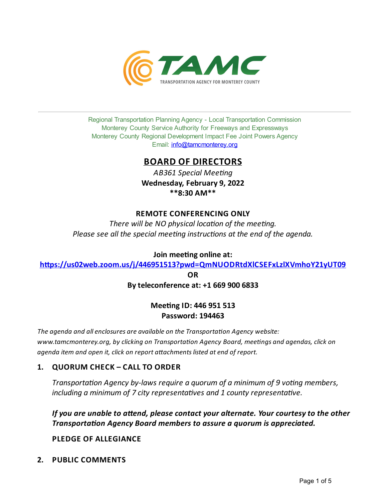

Regional Transportation Planning Agency - Local Transportation Commission Monterey County Service Authority for Freeways and Expressways Monterey County Regional Development Impact Fee Joint Powers Agency Email: *[info@tamcmonterey.org](file:///C:/Windows/TEMP/info@tamcmonterey.org)* 

# **BOARD OF DIRECTORS**

*AB361 Special Meeng* **Wednesday, February 9, 2022 \*\*8:30 AM\*\***

### **REMOTE CONFERENCING ONLY**

*There* will be NO physical location of the meeting. *Please see* all the *special* meeting *instructions* at the end of the *agenda*.

### **Join** meeting online at:

**[h-ps://us02web.zoom.us/j/446951513?pwd=QmNUODRtdXlCSEFxLzlXVmhoY21yUT09](https://us02web.zoom.us/j/446951513?pwd=QmNUODRtdXlCSEFxLzlXVmhoY21yUT09)**

**OR**

## **Byteleconference at: +1 669 900 6833**

## **Meeting ID: 446 951 513 Password: 194463**

*The agenda and allenclosures are available on theTransportaon Agency website: www.tamcmonterey.org, by clicking on Transportaon Agency Board, meengs and agendas, click on agenda item and open it, click on report a'achments listed atend of report.*

## **1. QUORUM CHECK – CALL TO ORDER**

*Transportation Agency by-laws require a guorum of a minimum of 9 voting members, including a minimum of 7 city representaves and 1 county representave.*

*If* you are unable to attend, please contact your alternate. Your courtesy to the other *Transportation Agency Board members to assure a quorum is appreciated.* 

### **PLEDGE OF ALLEGIANCE**

**2. PUBLIC COMMENTS**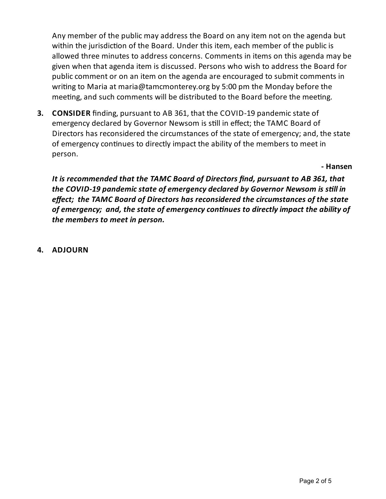Any member of the public mayaddress the Board on any item not on the agenda but within the jurisdiction of the Board. Under this item, each member of the public is allowed three minutes to address concerns. Comments in items on this agenda may be given when that agenda item is discussed. Persons who wish to address the Board for public comment or on an item on the agenda are encouraged to submit comments in writing to Maria at maria@tamcmonterey.org by 5:00 pm the Monday before the meeting, and such comments will be distributed to the Board before the meeting.

**3. CONSIDER** finding, pursuant to AB 361, that the COVID-19 pandemic state of emergency declared by Governor Newsom is still in effect; the TAMC Board of Directors has reconsidered the circumstances of the state of emergency; and, the state of emergency continues to directly impact the ability of the members to meet in person.

**- Hansen**

*It is recommended that the TAMC Board of Directors find, pursuant to AB 361, that the COVID-19 pandemic state ofemergency declared by Governor Newsom is sll in effect; the TAMC Board of Directors has reconsidered the circumstances of the state ofemergency; and, thestate ofemergencyconnues to directlyimpact the ability of the members to meet in person.*

**4. ADJOURN**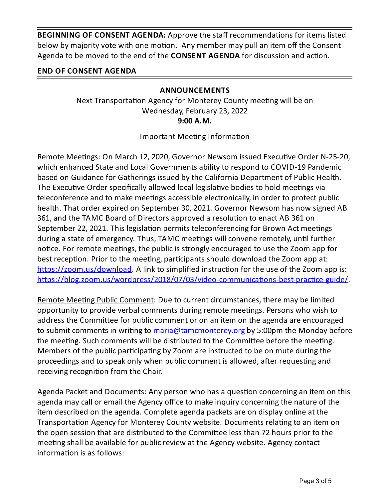**BEGINNING OF CONSENT AGENDA:** Approve the staff recommendations for items listed below by majority vote with one motion. Any member may pull an item off the Consent Agenda to be moved to the end of the **CONSENT AGENDA** for discussion and action.

# **END OF CONSENT AGENDA**

## **ANNOUNCEMENTS**

Next Transportation Agency for Monterey County meeting will be on Wednesday, February 23, 2022 **9:00 A.M.**

Important Meeting Information

Remote Meetings: On March 12, 2020, Governor Newsom issued Executive Order N-25-20, which enhanced State and Local Governments ability to respond to COVID-19 Pandemic based on Guidance for Gatherings issued by the California Department of Public Health. The Executive Order specifically allowed local legislative bodies to hold meetings via teleconference and to make meetings accessible electronically, in order to protect public health. That order expired on September 30, 2021. Governor Newsom has now signed AB 361, and the TAMC Board of Directors approved a resolution to enact AB 361 on September 22, 2021. This legislation permits teleconferencing for Brown Act meetings during a state of emergency. Thus, TAMC meetings will convene remotely, until further notice. For remote meetings, the public is strongly encouraged to use the Zoom app for best reception. Prior to the meeting, participants should download the Zoom app at: https://zoom.us/download. A link to simplified instruction for the use of the Zoom app is: https://blog.zoom.us/wordpress/2018/07/03/video-communications-best-practice-guide/.

Remote Meeting Public Comment: Due to current circumstances, there may be limited opportunity to provide verbal comments during remote meetings. Persons who wish to address the Committee for public comment or on an item on the agenda are encouraged to submit comments in writing to [maria@tamcmonterey.org](mailto:maria@tamcmonterey.org) by 5:00pm the Monday before the meeting. Such comments will be distributed to the Committee before the meeting. Members of the public participating by Zoom are instructed to be on mute during the proceedings and to speak only when public comment is allowed, after requesting and receiving recognition from the Chair.

Agenda Packet and Documents: Any person who has a question concerning an item on this agenda may call or email the Agency office to make inquiry concerning the nature of the item described on the agenda. Complete agenda packets are on display online at the Transportation Agency for Monterey County website. Documents relating to an item on the open session that are distributed to the Committee less than 72 hours prior to the meeting shall be available for public review at the Agency website. Agency contact information is as follows: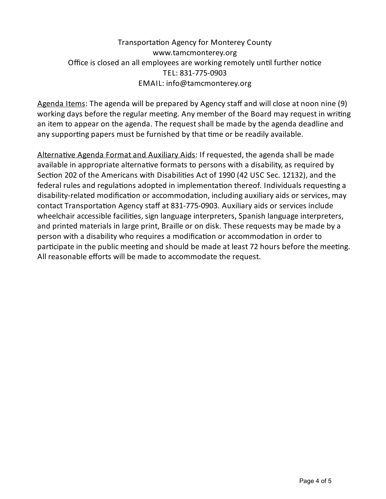# Transportation Agency for Monterey County www.tamcmonterey.org Office is closed an all employees are working remotely until further notice TEL: 831-775-0903 EMAIL: info@tamcmonterey.org

Agenda Items: The agenda will be prepared by Agency staff and will close at noon nine (9) working days before the regular meeting. Any member of the Board may request in writing an item to appear on the agenda. The request shall be made by the agenda deadline and any supporting papers must be furnished by that time or be readily available.

Alternative Agenda Format and Auxiliary Aids: If requested, the agenda shall be made available in appropriate alternative formats to persons with a disability, as required by Section 202 of the Americans with Disabilities Act of 1990 (42 USC Sec. 12132), and the federal rules and regulations adopted in implementation thereof. Individuals requesting a disability-related modification or accommodation, including auxiliary aids or services, may contact Transportation Agency staff at 831-775-0903. Auxiliary aids or services include wheelchair accessible facilities, sign language interpreters, Spanish language interpreters, and printed materials in large print, Braille or on disk. These requests may be made by a person with a disability who requires a modification or accommodation in order to participate in the public meeting and should be made at least 72 hours before the meeting. All reasonable efforts will be made to accommodate the request.